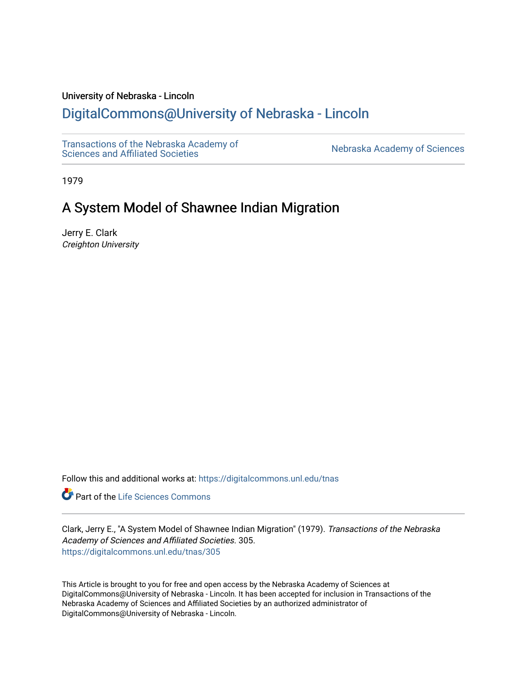# University of Nebraska - Lincoln

# [DigitalCommons@University of Nebraska - Lincoln](https://digitalcommons.unl.edu/)

[Transactions of the Nebraska Academy of](https://digitalcommons.unl.edu/tnas)  Transactions of the Nebraska Academy of Sciences<br>Sciences and Affiliated Societies

1979

# A System Model of Shawnee Indian Migration

Jerry E. Clark Creighton University

Follow this and additional works at: [https://digitalcommons.unl.edu/tnas](https://digitalcommons.unl.edu/tnas?utm_source=digitalcommons.unl.edu%2Ftnas%2F305&utm_medium=PDF&utm_campaign=PDFCoverPages) 

Part of the [Life Sciences Commons](http://network.bepress.com/hgg/discipline/1016?utm_source=digitalcommons.unl.edu%2Ftnas%2F305&utm_medium=PDF&utm_campaign=PDFCoverPages) 

Clark, Jerry E., "A System Model of Shawnee Indian Migration" (1979). Transactions of the Nebraska Academy of Sciences and Affiliated Societies. 305. [https://digitalcommons.unl.edu/tnas/305](https://digitalcommons.unl.edu/tnas/305?utm_source=digitalcommons.unl.edu%2Ftnas%2F305&utm_medium=PDF&utm_campaign=PDFCoverPages) 

This Article is brought to you for free and open access by the Nebraska Academy of Sciences at DigitalCommons@University of Nebraska - Lincoln. It has been accepted for inclusion in Transactions of the Nebraska Academy of Sciences and Affiliated Societies by an authorized administrator of DigitalCommons@University of Nebraska - Lincoln.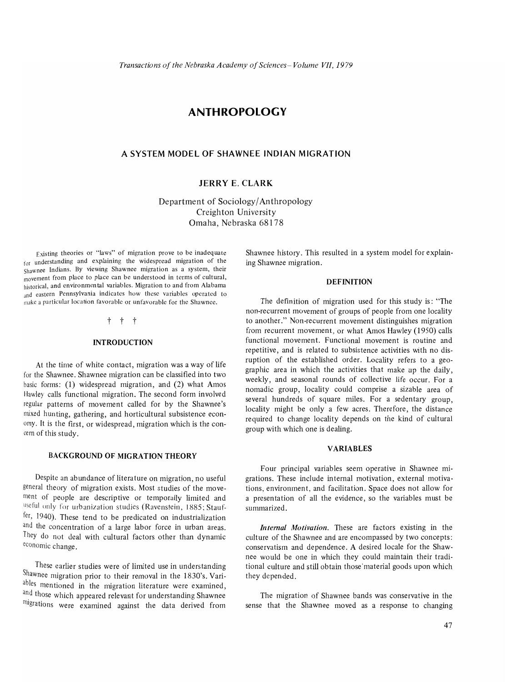# **ANTHROPOLOGY**

### **A SYSTEM MODEL OF SHAWNEE INDIAN MIGRATION**

## **JERRY E. CLARK**

Department of Sociology/Anthropology Creighton University Omaha, Nebraska 68178

Existing theories or "laws" of migration prove to be inadequate for understanding and explaining the widespread migration of the Shawnee Indians. By viewing Shawnee migration as a system, their movement from place to place can be understood in terms of cultural, historical, and environmental variables. Migration to and from Alabama and eastern Pennsylvania indicates how these variables operated to make a particular location favorable or unfavorable for the Shawnee.

### t t t

#### **INTRODUCTION**

At the time of white contact, migration was a way of life for the Shawnee. Shawnee migration can be classified into two basic forms: (1) widespread migration, and (2) what Amos Hawley calls functional migration. The second form involved regular patterns of movement called for by the Shawnee's mixed hunting, gathering, and horticultural subsistence economy. It is the first, or widespread, migration which is the concern of this study.

#### **BACKGROUND OF MIGRATION THEORY**

Despite an abundance of literature on migration, no useful general theory of migration exists. Most studies of the movement of people are descriptive or temporally limited and useful only for urbanization studies (Ravenstein, 1885; Stauffer, 1940). These tend to be predicated on industrialization and the concentration of a large labor force in urban areas. They do not deal with cultural factors other than dynamic economic change.

These earlier studies were of limited use in understanding Shawnee migration prior to their removal in the 1830's. Variables mentioned in the migration literature were examined, and those which appeared relevant for understanding Shawnee migrations were examined against the data derived from

Shawnee history. This resulted in a system model for explaining Shawnee migration.

#### **DEFINITION**

The definition of migration used for this study is: "The non-recurrent movement of groups of people from one locality to another." Non-recurrent movement distinguishes migration from recurrent movement, or what Amos Hawley (1950) calls functional movement. Functional movement is routine and repetitive, and is related to subsistence activities with no disruption of the established order. Locality refers to a geographic area in which the activities that make up the daily, weekly, and seasonal rounds of collective life occur. For a nomadic group, locality could comprise a sizable area of several hundreds of square miles. For a sedentary group, locality might be only a few acres. Therefore, the distance required to change locality depends on the kind of cultural group with which one is dealing.

#### **VARIABLES**

Four principal variables seem operative in Shawnee migrations. These include internal motivation, external motivations, environment, and facilitation. Space does not allow for a presentation of all the evidence, so the variables must be summarized.

*Internal Motivation.* These are factors existing in the culture of the Shawnee and are encompassed by two concepts: conservatism and dependence. A desired locale for the Shawnee would be one in which they could maintain their traditional culture and still obtain those'material goods upon which they depended.

The migration of Shawnee bands was conservative in the sense that the Shawnee moved as a response to changing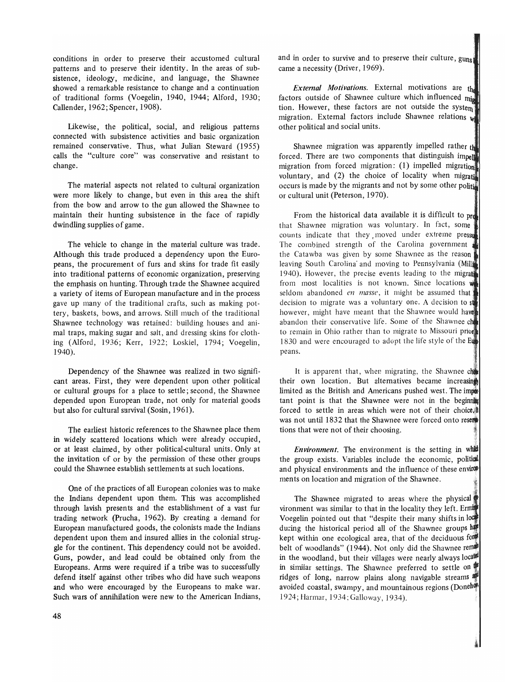conditions in order to preserve their accustomed cultural patterns and to preserve their identity. In the areas of subsistence, ideology, medicine, and language, the Shawnee showed a remarkable resistance to change and a continuation of traditional forms (Voegelin, 1940, 1944; Alford, 1930; Callender, 1962; Spencer, 1908).

Likewise, the political, social, and religious patterns connected with subsistence activities and basic organization remained conservative. Thus, what Julian Steward (1955) calls the "culture core" was conservative and resistant to change.

The material aspects not related to cultural organization were more likely to change, but even in this area the shift from the bow and arrow to the gun allowed the Shawnee to maintain their hunting subsistence in the face of rapidly dwindling supplies of game.

The vehicle to change in the material culture was trade. Although this trade produced a dependency upon the Europeans, the procurement of furs and skins for trade fit easily into traditional patterns of economic organization, preserving the emphasis on hunting. Through trade the Shawnee acquired a variety of items of European manufacture and in the process gave up many of the traditional crafts, such as making pottery, baskets, bows, and arrows. Still much of the traditional Shawnee technology was retained: building houses and animal traps, making sugar and salt, and dressing skins for clothing (Alford, 1936; Kerr, 1922; Loskiel, 1794; Voegelin, 1940).

Dependency of the Shawnee was realized in two significant areas. First, they were dependent upon other political or cultural groups for a place to settle; second, the Shawnee depended upon European trade, not only for material goods but also for cultural survival (Sosin, 1961).

The earliest historic references to the Shawnee place them in widely scattered locations which were already occupied, or at least claimed, by other political-cultural units. Only at the invitation of or by the permission of these other groups could the Shawnee establish settlements at such locations.

One of the practices of all European colonies was to make the Indians dependent upon them. This was accomplished through lavish presents and the establishment of a vast fur trading network (prucha, 1962). By creating a demand for European manufactured goods, the colonists made the Indians dependent upon them and insured allies in the colonial struggle for the continent. This dependency could not be avoided. Guns, powder, and lead could be obtained only from the Europeans. Arms were required if a tribe was to successfully defend itself against other tribes who did have such weapons and who were encouraged by the Europeans to make war. Such wars of annihilation were new to the American Indians, and in order to survive and to preserve their culture, guns came a necessity (Driver, 1969).

*External Motivations.* External motivations are th factors outside of Shawnee culture which influenced min tion. However, these factors are not outside the system migration. External factors include Shawnee relations w other political and social units.

Shawnee migration was apparently impelled rather  $t_{\text{th}}$ forced. There are two components that distinguish imper migration from forced migration: (1) impelled migration voluntary, and  $(2)$  the choice of locality when migration occurs is made by the migrants and not by some other poline or cultural unit (Peterson, 1970).

From the historical data available it is difficult to pro that Shawnee migration was voluntary. In fact, some counts indicate that they moved under extreme pressu The combined strength of the Carolina government the Catawba was given by some Shawnee as the reason' leaving South Carolina' and moving to Pennsylvania (Mil 1940). However, the precise events leading to the migrate from most localities is not known. Since locations  $\psi$ seldom abandoned *en masse*, it might be assumed that decision to migrate was a voluntary one. A decision to  $s$ however, might have meant that the Shawnee would have abandon their conservative life. Some of the Shawnee ch to remain in Ohio rather than to migrate to Missouri prior 1830 and were encouraged to adopt the life style of the Eu peans.

It is apparent that, when migrating, the Shawnee che their own location. But alternatives became increasing limited as the British and Americans pushed west. The improtant point is that the Shawnee were not in the beginning forced to settle in areas which were not of their choice. $\textcolor{red}{\textbf{t}}$ was not until 1832 that the Shawnee were forced onto reserve tions that were not of their choosing.

*Environment.* The environment is the setting in whi the group exists. Variables include the economic, political and physical environments and the influence of these environments on location and migration of the Shawnee.

.,~

The Shawnee migrated to areas where the physical vironment was similar to that in the locality they left. Ermit Voegelin pointed out that "despite their many shifts in lock during the historical period all of the Shawnee groups  $h$ kept within one ecological area, that of the deciduous for belt of woodlands" (1944). Not only did the Shawnee rem in the woodland, but their villages were nearly always located in similar settings. The Shawnee preferred to settle on ridges of long, narrow plains along navigable streams avoided coastal, swampy, and mountainous regions (Doneha) 1924; Harmar, 1934; Galloway, 1934).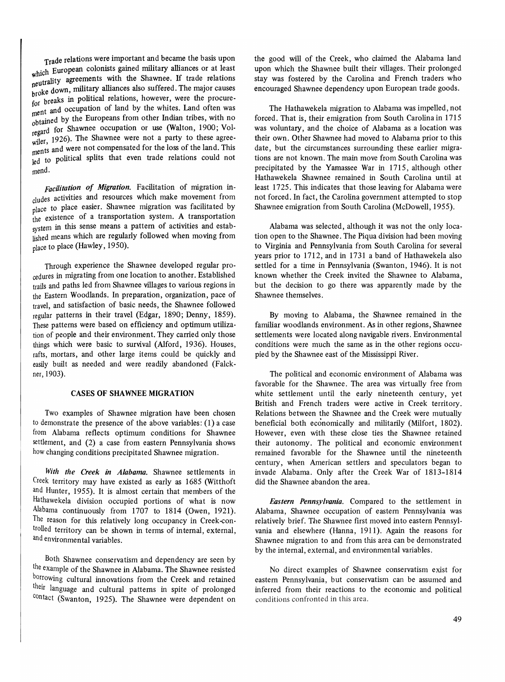Trade relations were important and became the basis upon which European colonists gained military alliances or at least where the shawnee. If trade relations hroke down, military alliances also suffered. The major causes brow Figure breaks in political relations, however, were the procurefor the and occupation of land by the whites. Land often was obtained by the Europeans from other Indian tribes, with no regard for Shawnee occupation or use (Walton, 1900; Vol $r_{\text{wiler}}$ , 1926). The Shawnee were not a party to these agree- $\frac{1}{2}$  and were not compensated for the loss of the land. This led to political splits that even trade relations could not mend.

*Facilitation of Migration.* Facilitation of migration includes activities and resources which make movement from place to place easier. Shawnee migration was facilitated by the existence of a transportation system. A transportation system in this sense means a pattern of activities and established means which are regularly followed when moving from place to place (Hawley, 1950).

Through experience the Shawnee developed regular procedures in migrating from one location to another. Established trails and paths led from Shawnee villages to various regions in the Eastern Woodlands. In preparation, organization, pace of travel, and satisfaction of basic needs, the Shawnee followed regular patterns in their travel (Edgar, 1890; Denny, 1859). These patterns were based on efficiency and optimum utilization of people and their environment. They carried only those things which were basic to survival (Alford, 1936). Houses, rafts, mortars, and other large items could be quickly and easily built as needed and were readily abandoned (Falckner, 1903).

#### CASES OF SHAWNEE MIGRATION

Two examples of Shawnee migration have been chosen to demonstrate the presence of the above variables: (1) a case from Alabama reflects optimum conditions for Shawnee settlement, and (2) a case from eastern Pennsylvania shows how changing conditions precipitated Shawnee migration.

*With the Creek in Alabama.* Shawnee settlements in Creek territory may have existed as early as 1685 (Witthoft and Hunter, 1955). It is almost certain that members of the Hathawekela division occupied portions of what is now Alabama continuously from 1707 to 1814 (Owen, 1921). The reason for this relatively long occupancy in Creek-controlled territory can be shown in terms of internal, external, and environmental variables.

Both Shawnee conservatism and dependency are seen by the example of the Shawnee in Alabama. The Shawnee resisted borrowing cultural innovations from the Creek and retained their language and cultural patterns in spite of prolonged contact (Swanton, 1925). The Shawnee were dependent on the good will of the Creek, who claimed the Alabama land upon which the Shawnee built their villages. Their prolonged stay was fostered by the Carolina and French traders who encouraged Shawnee dependency upon European trade goods.

The Hathawekela migration to Alabama was impelled, not forced. That is, their emigration from South Carolina in 1715 was voluntary, and the choice of Alabama as a location was their own. Other Shawnee had moved to Alabama prior to this date, but the circumstances surrounding these earlier migrations are not known. The main move from South Carolina was precipitated by the Yamassee War in 1715, although other Hathawekela Shawnee remained in South Carolina until at least 1725. This indicates that those leaving for Alabama were not forced. In fact, the Carolina government attempted to stop Shawnee emigration from South Carolina (McDowell, 1955).

Alabama was selected, although it was not the only location open to the Shawnee. The Piqua division had been moving to Virginia and Pennsylvania from South Carolina for several years prior to 1712, and in 1731 a band of Hathawekela also settled for a time in Pennsylvania (Swanton, 1946). It is not known whether the Creek invited the Shawnee to Alabama, but the decision to go there was apparently made by the Shawnee themselves.

By moving to Alabama, the Shawnee remained in the familiar woodlands environment. As in other regions, Shawnee settlements were located along navigable rivers. Environmental conditions were much the same as in the other regions occupied by the Shawnee east of the Mississippi River.

The political and economic environment of Alabama was favorable for the Shawnee. The area was virtually free from white settlement until the early nineteenth century, yet British and French traders were active in Creek territory. Relations between the Shawnee and the Creek were mutually beneficial both economically and militarily (Milfort, 1802). However, even with these close ties the Shawnee retained their autonomy. The political and economic environment remained favorable for the Shawnee until the nineteenth century, when American settlers and speculators began to invade Alabama. Only after the Creek War of 1813-1814 did the Shawnee abandon the area.

*Eastern Pennsylvania.* Compared to the settlement in Alabama, Shawnee occupation of eastern Pennsylvania was relatively brief. The Shawnee first moved into eastern Pennsylvania and elsewhere (Hanna, 1911). Again the reasons for Shawnee migration to and from this area can be demonstrated by the internal, external, and environmental variables.

No direct examples of Shawnee conservatism exist for eastern Pennsylvania, but conservatism can be assumed and inferred from their reactions to the economic and political conditions confronted in this area.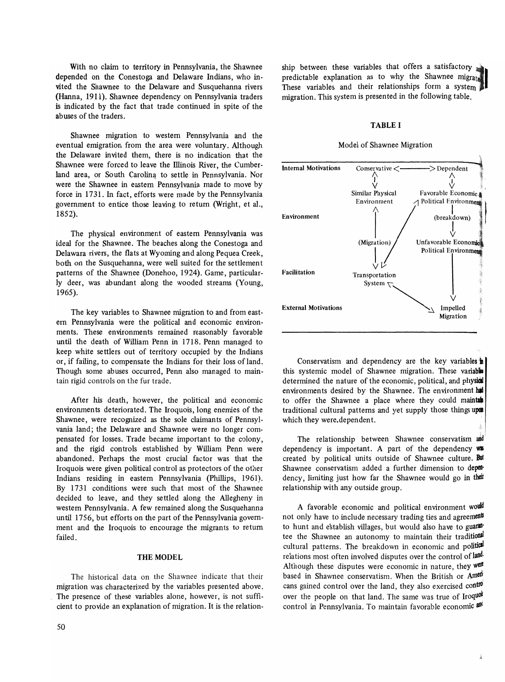With no claim to territory in Pennsylvania, the Shawnee depended on the Conestoga and Delaware Indians, who invited the Shawnee to the Delaware and Susquehanna rivers (Hanna, 1911). Shawnee dependency on Pennsylvania traders is indicated by the fact that trade continued in spite of the abuses of the traders.

Shawnee migration to western Pennsylvania and the eventual emigration from the area were voluntary. Although the Delaware invited them, there is no indication that the Shawnee were forced to leave the Dlinois River, the Cumberland area, or South Carolina to settle in Pennsylvania. Nor were the Shawnee in eastern Pennsylvania made to move by force in 1731. In fact, efforts were made by the Pennsylvania government to entice those leaving to return (Wright, et al., 1852).

The physical environment of eastern Pennsylvania was ideal for the Shawnee. The beaches along the Conestoga and Delawara rivers, the flats at Wyoming and along Pequea Creek, both on the Susquehanna, were well suited for the settlement patterns of the Shawnee (Donehoo, 1924). Game, particularly deer, was abundant along the wooded streams (Young, 1965).

The key variables to Shawnee migration to and from eastern Pennsylvania were the political and economic environments. These environments remained reasonably favorable until the death of William Penn in 1718. Penn managed to keep white settlers out of territory occupied by the Indians or, if failing, to compensate the Indians for their loss of land. Though some abuses occurred, Penn also managed to maintain rigid controls on the fur trade.

After his death, however, the political and economic environments deteriorated. The Iroquois, long enemies of the Shawnee, were recognized as the sole claimants of Pennsylvania land; the Delaware and Shawnee were no longer compensated for losses. Trade became important to the colony, and the rigid controls established by William Penn were abandoned. Perhaps the most crucial factor was that the Iroquois were given political control as protectors of the other Indians residing in eastern Pennsylvania (phillips, 1961). By 1731 conditions were such that most of the Shawnee decided to leave, and they settled along the Allegheny in western Pennsylvania. A few remained along the Susquehanna until 1756, but efforts on the part of the Pennsylvania government and the Iroquois to encourage the migrants to return failed.

#### THE MODEL

The historical data on the Shawnee indicate that their migration was characterized by the variables presented above. The presence of these variables alone, however, is not sufficient to provide an explanation of migration. It is the relationship between these variables that offers a satisfactory  $\omega$ predictable explanation as to why the Shawnee migrate ship between these variables indications a satisfactory are predictable explanation as to why the Shawnee migrate migration. This system is presented in the following table.

#### TABLE I

#### Model of Shawnee Migration



Conservatism and dependency are the key variables  $\mathbf{h}$ this systemic model of Shawnee migration. These variables determined the nature of the economic, political, and physical environments desired by the Shawnee. The environment  $\mathbf{h}$ to offer the Shawnee a place where they could maintain traditional cultural patterns and yet supply those things upon which they were. dependent.

The relationship between Shawnee conservatism and dependency is important. A part of the dependency  $\mathbf{w}$ created by political units outside of Shawnee culture. But Shawnee conservatism added a further dimension to dependency, limiting just how far the Shawnee would go in their relationship with any outside group.

A favorable economic and political environment would not only have to include necessary trading ties and agreements to hunt and establish villages, but would also have to guarantee the Shawnee an autonomy to maintain their traditional cultural patterns. The breakdown in economic and political relations most often involved disputes over the control of land. Although these disputes were economic in nature, they were based in Shawnee conservatism. When the British or Amedicans gained control over the land, they also exercised control over the people on that land. The same was true of Iroquot control in Pennsylvania. To maintain favorable economic and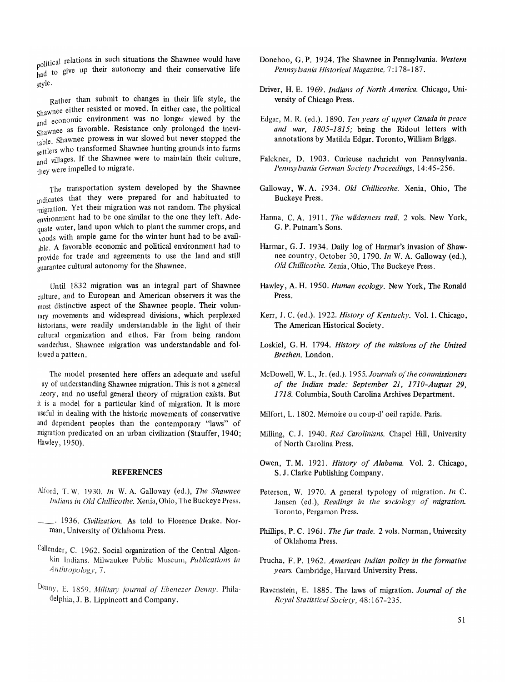political relations in such situations the Shawnee would have policy-<br>had to give up their autonomy and their conservative life style.

Rather than submit to changes in their life style, the  $Shawnee$  either resisted or moved. In either case, the political and economic environment was no longer viewed by the shawnee as favorable. Resistance only prolonged the inevitable. Shawnee prowess in war slowed but never stopped the settlers who transformed Shawnee hunting grounds into farms and villages. If the Shawnee were to maintain their culture, they were impelled to migrate.

The transportation system developed by the Shawnee indicates that they were prepared for and habituated to migration. Yet their migration was not random. The physical environment had to be one similar to the one they left. Adequate water, land upon which to plant the summer crops, and  $\omega$ <sub>voods</sub> with ample game for the winter hunt had to be availlble. A favorable economic and political environment had to provide for trade and agreements to use the land and still guarantee cultural autonomy for the Shawnee.

Until 1832 migration was an integral part of Shawnee culture, and to European and American observers it was the most distinctive aspect of the Shawnee people. Their voluntary movements and widespread divisions, which perplexed historians, were readily understandable in the light of their cultural organization and ethos. Far from being random wanderlust, Shawnee migration was understandable and followed a pattern.

The model presented here offers an adequate and useful ay of understanding Shawnee migration. This is not a general heory, and no useful general theory of migration exists. But it is a model for a particular kind of migration. It is more useful in dealing with the historic movements of conservative and dependent peoples than the contemporary "laws" of migration predicated on an urban civilization (Stauffer, 1940; Hawley, 1950).

#### REFERENCES

- Alford, T. W. 1930. *In* W. A. Galloway (ed.), *The Shawnee Indians in Old Chillicothe.* Xenia, Ohio, The Buckeye Press.
- \_. 1936. *Civilization.* As told to Florence Drake. Norman, University of Oklahoma Press.
- Callender, C. 1962. Social organization of the Central Algonkin Indians. Milwaukee Public Museum, *Publications in Anthropology,* 7.
- Denny, E. 1859. *Military journal of Fbenezer Denny.* Philadelphia, J. B. lippincott and Company.
- Donehoo, G. P. 1924. The Shawnee in Pennsylvania. *Western Pennsylvania Historical Magazine,* 7: 178-187.
- Driver, H. E. 1969. *Indians of North America.* Chicago, University of Chicago Press.
- Edgar, M. R. (ed.). 1890. *Ten years of upper Canada in peace and war, 1805-1815;* being the Ridout letters with annotations by Matilda Edgar. Toronto, William Briggs.
- Falckner, D. 1903. Curieuse nachricht von Pennsylvania. *Pennsylvania German Society Proceedings, 14:45-256.*
- Galloway, W. A. 1934. *Old Chillicothe.* Xenia, Ohio, The Buckeye Press.
- Hanna, C. A. 1911. *The wilderness trail.* 2 vols. New York, G. P. Putnam's Sons.
- Harmar, G. J. 1934. Daily log of Harmar's invasion of Shawnee country, October 30, 1790. *In* W. A. Galloway (ed.), *Old Chillicothe.* Zenia, Ohio, The Buckeye Press.
- Hawley, A. H. 1950. *Human ecology.* New York, The Ronald Press.
- Kerr, J. C. (ed.). 1922. *History of Kentucky.* Vol. l. Chicago, The American Historical Society.
- Loskiel, G. H. 1794. *History of the missions of the United Brethen.* London.
- McDowell, W. L., Jr. (ed.). 1955. *Journals of the commissioners of the Indian trade: September* 21, *1710-August 29,*  1718. Columbia, South Carolina Archives Department.
- Milfort, L. 1802. Memoire ou coup-d' oeil rapide. Paris.
- Milling, C. J. 1940. *Red Carolinians.* Chapel Hill, University of North Carolina Press.
- Owen, T. M. 1921. *History of Alabama.* Vol. 2. Chicago, S. J. Clarke Publishing Company.
- Peterson, W. 1970. A general typology of migration. *In* C. Jansen (ed.), *Readings in the sociology of migration*. Toronto, Pergamon Press.
- Phillips, P. C. 1961. *The fur trade.* 2 vols. Norman, University of Oklahoma Press.
- Prucha, F. P. 1962. *American Indian policy in the formative years.* Cambridge, Harvard University Press.
- Ravenstein, E. 1885. The laws of migration. *Journal of the Royal Statistical Society, 48:167-235.*